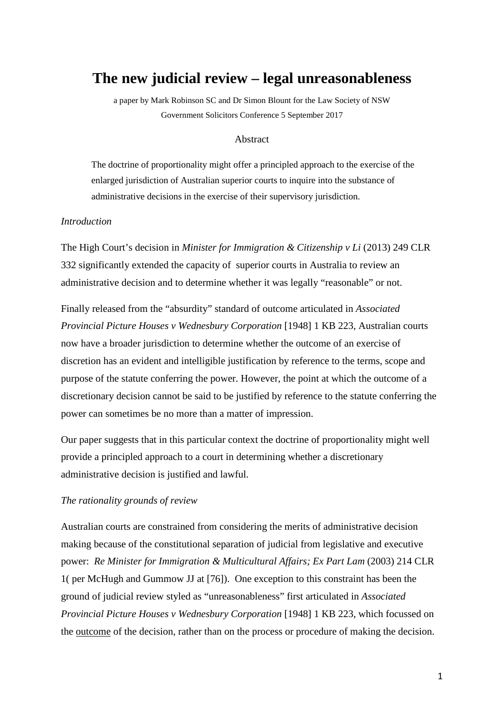# **The new judicial review – legal unreasonableness**

a paper by Mark Robinson SC and Dr Simon Blount for the Law Society of NSW Government Solicitors Conference 5 September 2017

## Abstract

The doctrine of proportionality might offer a principled approach to the exercise of the enlarged jurisdiction of Australian superior courts to inquire into the substance of administrative decisions in the exercise of their supervisory jurisdiction.

# *Introduction*

The High Court's decision in *Minister for Immigration & Citizenship v Li* (2013) 249 CLR 332 significantly extended the capacity of superior courts in Australia to review an administrative decision and to determine whether it was legally "reasonable" or not.

Finally released from the "absurdity" standard of outcome articulated in *Associated Provincial Picture Houses v Wednesbury Corporation* [1948] 1 KB 223, Australian courts now have a broader jurisdiction to determine whether the outcome of an exercise of discretion has an evident and intelligible justification by reference to the terms, scope and purpose of the statute conferring the power. However, the point at which the outcome of a discretionary decision cannot be said to be justified by reference to the statute conferring the power can sometimes be no more than a matter of impression.

Our paper suggests that in this particular context the doctrine of proportionality might well provide a principled approach to a court in determining whether a discretionary administrative decision is justified and lawful.

#### *The rationality grounds of review*

Australian courts are constrained from considering the merits of administrative decision making because of the constitutional separation of judicial from legislative and executive power: *Re Minister for Immigration & Multicultural Affairs; Ex Part Lam* (2003) 214 CLR 1( per McHugh and Gummow JJ at [76]). One exception to this constraint has been the ground of judicial review styled as "unreasonableness" first articulated in *Associated Provincial Picture Houses v Wednesbury Corporation* [1948] 1 KB 223, which focussed on the outcome of the decision, rather than on the process or procedure of making the decision.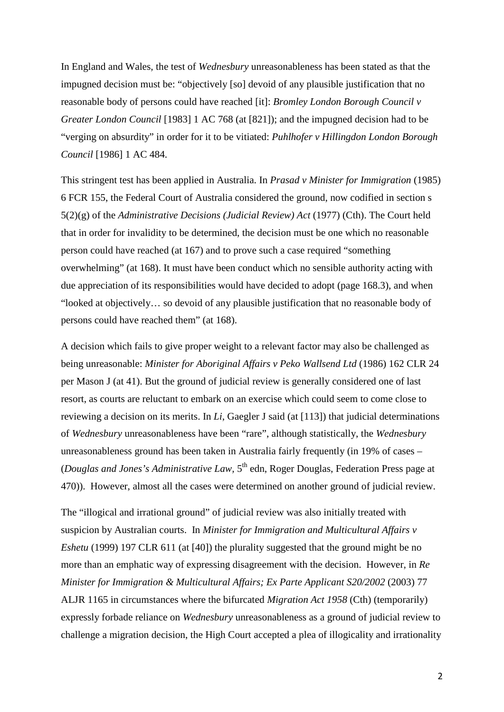In England and Wales, the test of *Wednesbury* unreasonableness has been stated as that the impugned decision must be: "objectively [so] devoid of any plausible justification that no reasonable body of persons could have reached [it]: *Bromley London Borough Council v Greater London Council* [1983] 1 AC 768 (at [821]); and the impugned decision had to be "verging on absurdity" in order for it to be vitiated: *Puhlhofer v Hillingdon London Borough Council* [1986] 1 AC 484.

This stringent test has been applied in Australia. In *Prasad v Minister for Immigration* (1985) 6 FCR 155, the Federal Court of Australia considered the ground, now codified in section s 5(2)(g) of the *Administrative Decisions (Judicial Review) Act* (1977) (Cth). The Court held that in order for invalidity to be determined, the decision must be one which no reasonable person could have reached (at 167) and to prove such a case required "something overwhelming" (at 168). It must have been conduct which no sensible authority acting with due appreciation of its responsibilities would have decided to adopt (page 168.3), and when "looked at objectively… so devoid of any plausible justification that no reasonable body of persons could have reached them" (at 168).

A decision which fails to give proper weight to a relevant factor may also be challenged as being unreasonable: *Minister for Aboriginal Affairs v Peko Wallsend Ltd* (1986) 162 CLR 24 per Mason J (at 41). But the ground of judicial review is generally considered one of last resort, as courts are reluctant to embark on an exercise which could seem to come close to reviewing a decision on its merits. In *Li*, Gaegler J said (at [113]) that judicial determinations of *Wednesbury* unreasonableness have been "rare", although statistically, the *Wednesbury* unreasonableness ground has been taken in Australia fairly frequently (in 19% of cases – (*Douglas and Jones's Administrative Law*, 5<sup>th</sup> edn, Roger Douglas, Federation Press page at 470)). However, almost all the cases were determined on another ground of judicial review.

The "illogical and irrational ground" of judicial review was also initially treated with suspicion by Australian courts. In *Minister for Immigration and Multicultural Affairs v Eshetu* (1999) 197 CLR 611 (at [40]) the plurality suggested that the ground might be no more than an emphatic way of expressing disagreement with the decision. However, in *Re Minister for Immigration & Multicultural Affairs; Ex Parte Applicant S20/2002 (2003) 77* ALJR 1165 in circumstances where the bifurcated *Migration Act 1958* (Cth) (temporarily) expressly forbade reliance on *Wednesbury* unreasonableness as a ground of judicial review to challenge a migration decision, the High Court accepted a plea of illogicality and irrationality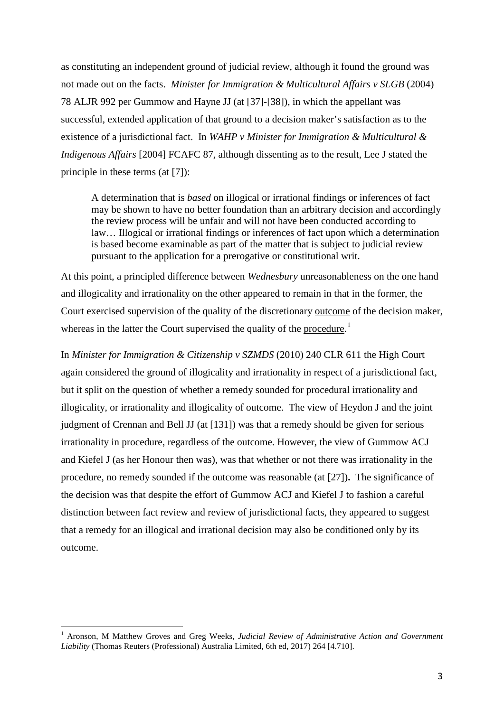as constituting an independent ground of judicial review, although it found the ground was not made out on the facts. *Minister for Immigration & Multicultural Affairs v SLGB* (2004) 78 ALJR 992 per Gummow and Hayne JJ (at [37]-[38]), in which the appellant was successful, extended application of that ground to a decision maker's satisfaction as to the existence of a jurisdictional fact. In *WAHP v Minister for Immigration & Multicultural & Indigenous Affairs* [2004] FCAFC 87, although dissenting as to the result, Lee J stated the principle in these terms (at [7]):

A determination that is *based* on illogical or irrational findings or inferences of fact may be shown to have no better foundation than an arbitrary decision and accordingly the review process will be unfair and will not have been conducted according to law… Illogical or irrational findings or inferences of fact upon which a determination is based become examinable as part of the matter that is subject to judicial review pursuant to the application for a prerogative or constitutional writ.

At this point, a principled difference between *Wednesbury* unreasonableness on the one hand and illogicality and irrationality on the other appeared to remain in that in the former, the Court exercised supervision of the quality of the discretionary outcome of the decision maker, whereas in the latter the Court supervised the quality of the procedure.<sup>[1](#page-2-0)</sup>

In *Minister for Immigration & Citizenship v SZMDS* (2010) 240 CLR 611 the High Court again considered the ground of illogicality and irrationality in respect of a jurisdictional fact, but it split on the question of whether a remedy sounded for procedural irrationality and illogicality, or irrationality and illogicality of outcome. The view of Heydon J and the joint judgment of Crennan and Bell JJ (at [131]) was that a remedy should be given for serious irrationality in procedure, regardless of the outcome. However, the view of Gummow ACJ and Kiefel J (as her Honour then was), was that whether or not there was irrationality in the procedure, no remedy sounded if the outcome was reasonable (at [27])**.** The significance of the decision was that despite the effort of Gummow ACJ and Kiefel J to fashion a careful distinction between fact review and review of jurisdictional facts, they appeared to suggest that a remedy for an illogical and irrational decision may also be conditioned only by its outcome.

<span id="page-2-0"></span><sup>1</sup> Aronson, <sup>M</sup> Matthew Groves and Greg Weeks, *Judicial Review of Administrative Action and Government Liability* (Thomas Reuters (Professional) Australia Limited, 6th ed, 2017) 264 [4.710].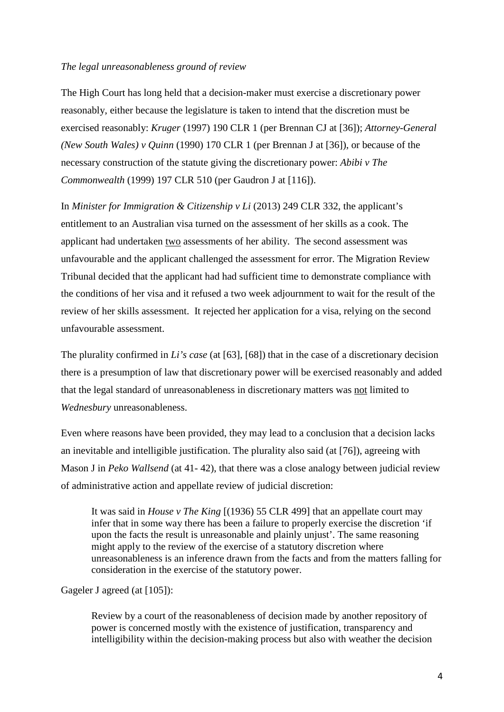# *The legal unreasonableness ground of review*

The High Court has long held that a decision-maker must exercise a discretionary power reasonably, either because the legislature is taken to intend that the discretion must be exercised reasonably: *Kruger* (1997) 190 CLR 1 (per Brennan CJ at [36]); *Attorney-General (New South Wales) v Quinn* (1990) 170 CLR 1 (per Brennan J at [36]), or because of the necessary construction of the statute giving the discretionary power: *Abibi v The Commonwealth* (1999) 197 CLR 510 (per Gaudron J at [116]).

In *Minister for Immigration & Citizenship v Li* (2013) 249 CLR 332, the applicant's entitlement to an Australian visa turned on the assessment of her skills as a cook. The applicant had undertaken two assessments of her ability. The second assessment was unfavourable and the applicant challenged the assessment for error. The Migration Review Tribunal decided that the applicant had had sufficient time to demonstrate compliance with the conditions of her visa and it refused a two week adjournment to wait for the result of the review of her skills assessment. It rejected her application for a visa, relying on the second unfavourable assessment.

The plurality confirmed in *Li's case* (at [63], [68]) that in the case of a discretionary decision there is a presumption of law that discretionary power will be exercised reasonably and added that the legal standard of unreasonableness in discretionary matters was not limited to *Wednesbury* unreasonableness.

Even where reasons have been provided, they may lead to a conclusion that a decision lacks an inevitable and intelligible justification. The plurality also said (at [76]), agreeing with Mason J in *Peko Wallsend* (at 41- 42), that there was a close analogy between judicial review of administrative action and appellate review of judicial discretion:

It was said in *House v The King* [(1936) 55 CLR 499] that an appellate court may infer that in some way there has been a failure to properly exercise the discretion 'if upon the facts the result is unreasonable and plainly unjust'. The same reasoning might apply to the review of the exercise of a statutory discretion where unreasonableness is an inference drawn from the facts and from the matters falling for consideration in the exercise of the statutory power.

Gageler J agreed (at [105]):

Review by a court of the reasonableness of decision made by another repository of power is concerned mostly with the existence of justification, transparency and intelligibility within the decision-making process but also with weather the decision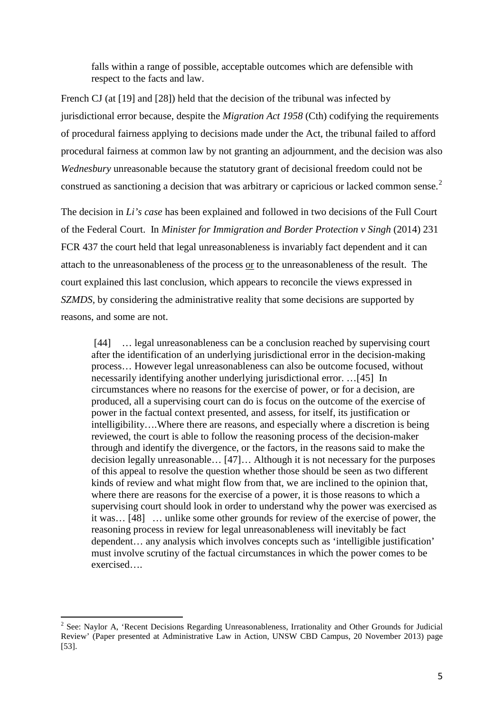falls within a range of possible, acceptable outcomes which are defensible with respect to the facts and law.

French CJ (at [19] and [28]) held that the decision of the tribunal was infected by jurisdictional error because, despite the *Migration Act 1958* (Cth) codifying the requirements of procedural fairness applying to decisions made under the Act, the tribunal failed to afford procedural fairness at common law by not granting an adjournment, and the decision was also *Wednesbury* unreasonable because the statutory grant of decisional freedom could not be construed as sanctioning a decision that was arbitrary or capricious or lacked common sense.<sup>[2](#page-4-0)</sup>

The decision in *Li's case* has been explained and followed in two decisions of the Full Court of the Federal Court. In *Minister for Immigration and Border Protection v Singh* (2014) 231 FCR 437 the court held that legal unreasonableness is invariably fact dependent and it can attach to the unreasonableness of the process or to the unreasonableness of the result. The court explained this last conclusion, which appears to reconcile the views expressed in *SZMDS,* by considering the administrative reality that some decisions are supported by reasons, and some are not.

[44] ... legal unreasonableness can be a conclusion reached by supervising court after the identification of an underlying jurisdictional error in the decision-making process… However legal unreasonableness can also be outcome focused, without necessarily identifying another underlying jurisdictional error. …[45] In circumstances where no reasons for the exercise of power, or for a decision, are produced, all a supervising court can do is focus on the outcome of the exercise of power in the factual context presented, and assess, for itself, its justification or intelligibility….Where there are reasons, and especially where a discretion is being reviewed, the court is able to follow the reasoning process of the decision-maker through and identify the divergence, or the factors, in the reasons said to make the decision legally unreasonable… [47]… Although it is not necessary for the purposes of this appeal to resolve the question whether those should be seen as two different kinds of review and what might flow from that, we are inclined to the opinion that, where there are reasons for the exercise of a power, it is those reasons to which a supervising court should look in order to understand why the power was exercised as it was… [48] … unlike some other grounds for review of the exercise of power, the reasoning process in review for legal unreasonableness will inevitably be fact dependent… any analysis which involves concepts such as 'intelligible justification' must involve scrutiny of the factual circumstances in which the power comes to be exercised….

<span id="page-4-0"></span><sup>&</sup>lt;sup>2</sup> See: Naylor A, 'Recent Decisions Regarding Unreasonableness, Irrationality and Other Grounds for Judicial Review' (Paper presented at Administrative Law in Action, UNSW CBD Campus, 20 November 2013) page [53].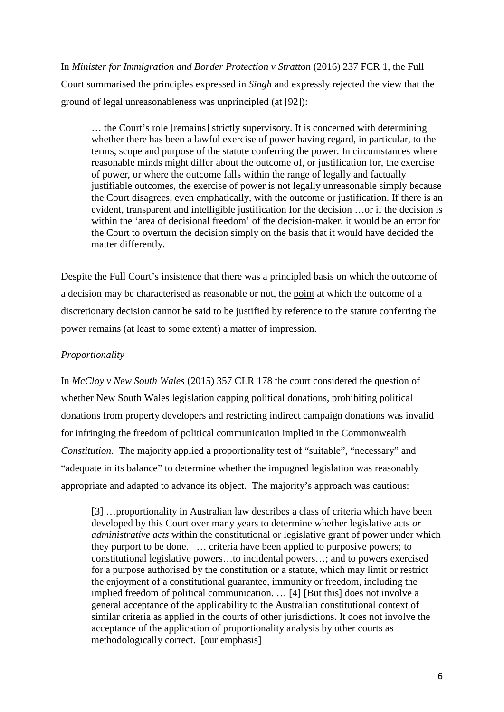In *Minister for Immigration and Border Protection v Stratton* (2016) 237 FCR 1, the Full Court summarised the principles expressed in *Singh* and expressly rejected the view that the ground of legal unreasonableness was unprincipled (at [92]):

… the Court's role [remains] strictly supervisory. It is concerned with determining whether there has been a lawful exercise of power having regard, in particular, to the terms, scope and purpose of the statute conferring the power. In circumstances where reasonable minds might differ about the outcome of, or justification for, the exercise of power, or where the outcome falls within the range of legally and factually justifiable outcomes, the exercise of power is not legally unreasonable simply because the Court disagrees, even emphatically, with the outcome or justification. If there is an evident, transparent and intelligible justification for the decision …or if the decision is within the 'area of decisional freedom' of the decision-maker, it would be an error for the Court to overturn the decision simply on the basis that it would have decided the matter differently.

Despite the Full Court's insistence that there was a principled basis on which the outcome of a decision may be characterised as reasonable or not, the point at which the outcome of a discretionary decision cannot be said to be justified by reference to the statute conferring the power remains (at least to some extent) a matter of impression.

# *Proportionality*

In *McCloy v New South Wales* (2015) 357 CLR 178 the court considered the question of whether New South Wales legislation capping political donations, prohibiting political donations from property developers and restricting indirect campaign donations was invalid for infringing the freedom of political communication implied in the Commonwealth *Constitution*. The majority applied a proportionality test of "suitable", "necessary" and "adequate in its balance" to determine whether the impugned legislation was reasonably appropriate and adapted to advance its object. The majority's approach was cautious:

[3] …proportionality in Australian law describes a class of criteria which have been developed by this Court over many years to determine whether legislative acts *or administrative acts* within the constitutional or legislative grant of power under which they purport to be done. … criteria have been applied to purposive powers; to constitutional legislative powers…to incidental powers…; and to powers exercised for a purpose authorised by the constitution or a statute, which may limit or restrict the enjoyment of a constitutional guarantee, immunity or freedom, including the implied freedom of political communication. … [4] [But this] does not involve a general acceptance of the applicability to the Australian constitutional context of similar criteria as applied in the courts of other jurisdictions. It does not involve the acceptance of the application of proportionality analysis by other courts as methodologically correct. [our emphasis]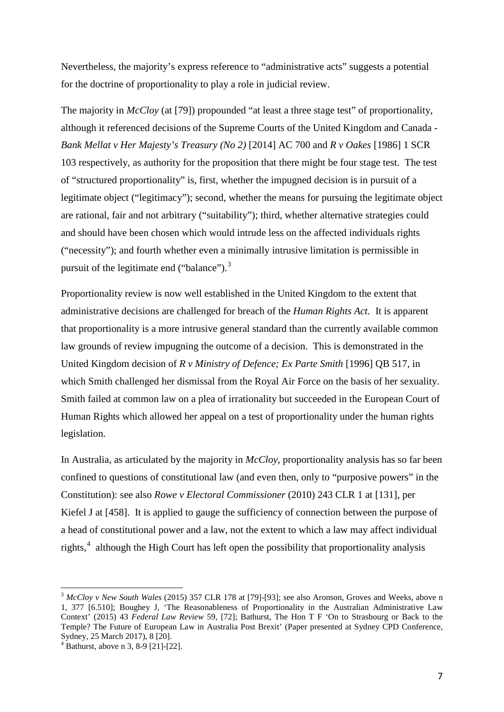Nevertheless, the majority's express reference to "administrative acts" suggests a potential for the doctrine of proportionality to play a role in judicial review.

The majority in *McCloy* (at [79]) propounded "at least a three stage test" of proportionality, although it referenced decisions of the Supreme Courts of the United Kingdom and Canada - *Bank Mellat v Her Majesty's Treasury (No 2)* [2014] AC 700 and *R v Oakes* [1986] 1 SCR 103 respectively, as authority for the proposition that there might be four stage test. The test of "structured proportionality" is, first, whether the impugned decision is in pursuit of a legitimate object ("legitimacy"); second, whether the means for pursuing the legitimate object are rational, fair and not arbitrary ("suitability"); third, whether alternative strategies could and should have been chosen which would intrude less on the affected individuals rights ("necessity"); and fourth whether even a minimally intrusive limitation is permissible in pursuit of the legitimate end ("balance").<sup>[3](#page-6-0)</sup>

Proportionality review is now well established in the United Kingdom to the extent that administrative decisions are challenged for breach of the *Human Rights Act.* It is apparent that proportionality is a more intrusive general standard than the currently available common law grounds of review impugning the outcome of a decision. This is demonstrated in the United Kingdom decision of *R v Ministry of Defence; Ex Parte Smith* [1996] QB 517*,* in which Smith challenged her dismissal from the Royal Air Force on the basis of her sexuality. Smith failed at common law on a plea of irrationality but succeeded in the European Court of Human Rights which allowed her appeal on a test of proportionality under the human rights legislation.

In Australia, as articulated by the majority in *McCloy*, proportionality analysis has so far been confined to questions of constitutional law (and even then, only to "purposive powers" in the Constitution): see also *Rowe v Electoral Commissioner* (2010) 243 CLR 1 at [131], per Kiefel J at [458]. It is applied to gauge the sufficiency of connection between the purpose of a head of constitutional power and a law, not the extent to which a law may affect individual rights,<sup>[4](#page-6-1)</sup> although the High Court has left open the possibility that proportionality analysis

<span id="page-6-0"></span><sup>3</sup> *McCloy v New South Wales* (2015) 357 CLR 178 at [79]-[93]; see also Aronson, Groves and Weeks, above n 1, 377 [6.510]; Boughey J, 'The Reasonableness of Proportionality in the Australian Administrative Law Context' (2015) 43 *Federal Law Review* 59, [72]; Bathurst, The Hon T F 'On to Strasbourg or Back to the Temple? The Future of European Law in Australia Post Brexit' (Paper presented at Sydney CPD Conference,

<span id="page-6-1"></span> $4\overline{B}$  Bathurst, above n 3, 8-9 [21]-[22].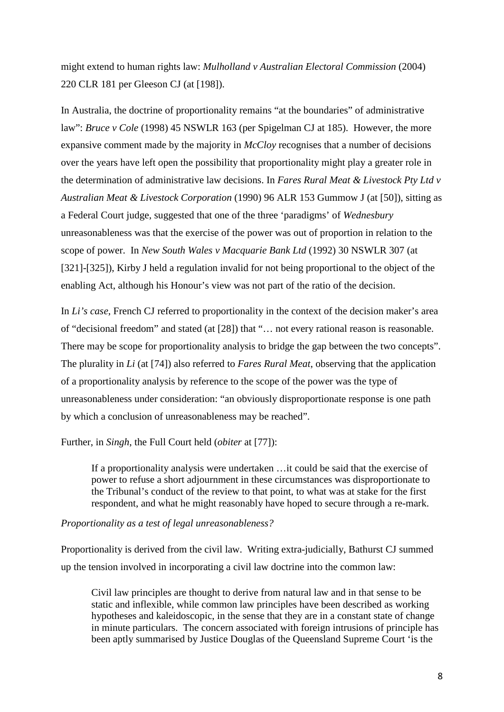might extend to human rights law: *Mulholland v Australian Electoral Commission* (2004) 220 CLR 181 per Gleeson CJ (at [198]).

In Australia, the doctrine of proportionality remains "at the boundaries" of administrative law": *Bruce v Cole* (1998) 45 NSWLR 163 (per Spigelman CJ at 185). However, the more expansive comment made by the majority in *McCloy* recognises that a number of decisions over the years have left open the possibility that proportionality might play a greater role in the determination of administrative law decisions. In *Fares Rural Meat & Livestock Pty Ltd v Australian Meat & Livestock Corporation* (1990) 96 ALR 153 Gummow J (at [50]), sitting as a Federal Court judge, suggested that one of the three 'paradigms' of *Wednesbury*  unreasonableness was that the exercise of the power was out of proportion in relation to the scope of power. In *New South Wales v Macquarie Bank Ltd* (1992) 30 NSWLR 307 (at [321]-[325]), Kirby J held a regulation invalid for not being proportional to the object of the enabling Act, although his Honour's view was not part of the ratio of the decision.

In *Li's case*, French CJ referred to proportionality in the context of the decision maker's area of "decisional freedom" and stated (at [28]) that "… not every rational reason is reasonable. There may be scope for proportionality analysis to bridge the gap between the two concepts". The plurality in *Li* (at [74]) also referred to *Fares Rural Meat*, observing that the application of a proportionality analysis by reference to the scope of the power was the type of unreasonableness under consideration: "an obviously disproportionate response is one path by which a conclusion of unreasonableness may be reached".

Further, in *Singh*, the Full Court held (*obiter* at [77]):

If a proportionality analysis were undertaken …it could be said that the exercise of power to refuse a short adjournment in these circumstances was disproportionate to the Tribunal's conduct of the review to that point, to what was at stake for the first respondent, and what he might reasonably have hoped to secure through a re-mark.

## *Proportionality as a test of legal unreasonableness?*

Proportionality is derived from the civil law. Writing extra-judicially, Bathurst CJ summed up the tension involved in incorporating a civil law doctrine into the common law:

Civil law principles are thought to derive from natural law and in that sense to be static and inflexible, while common law principles have been described as working hypotheses and kaleidoscopic, in the sense that they are in a constant state of change in minute particulars. The concern associated with foreign intrusions of principle has been aptly summarised by Justice Douglas of the Queensland Supreme Court 'is the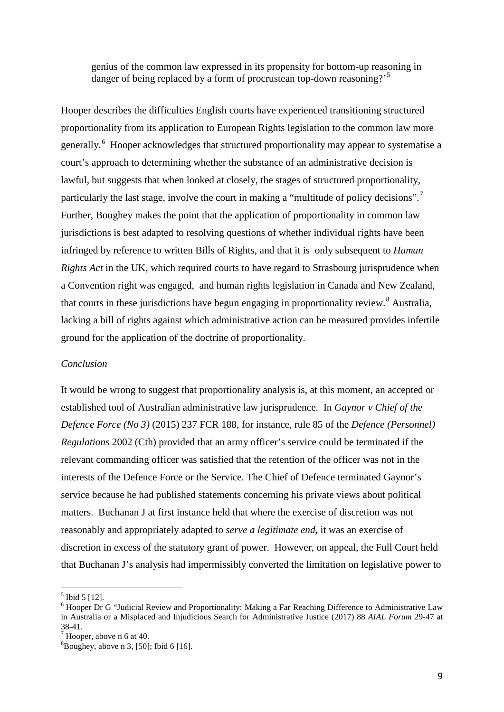genius of the common law expressed in its propensity for bottom-up reasoning in danger of being replaced by a form of procrustean top-down reasoning?<sup>[5](#page-8-0)</sup>

Hooper describes the difficulties English courts have experienced transitioning structured proportionality from its application to European Rights legislation to the common law more generally.<sup>[6](#page-8-1)</sup> Hooper acknowledges that structured proportionality may appear to systematise a court's approach to determining whether the substance of an administrative decision is lawful, but suggests that when looked at closely, the stages of structured proportionality, particularly the last stage, involve the court in making a "multitude of policy decisions".<sup>[7](#page-8-2)</sup> Further, Boughey makes the point that the application of proportionality in common law jurisdictions is best adapted to resolving questions of whether individual rights have been infringed by reference to written Bills of Rights, and that it is only subsequent to *Human Rights Act* in the UK, which required courts to have regard to Strasbourg jurisprudence when a Convention right was engaged, and human rights legislation in Canada and New Zealand, that courts in these jurisdictions have begun engaging in proportionality review.<sup>[8](#page-8-3)</sup> Australia, lacking a bill of rights against which administrative action can be measured provides infertile ground for the application of the doctrine of proportionality.

#### *Conclusion*

It would be wrong to suggest that proportionality analysis is, at this moment, an accepted or established tool of Australian administrative law jurisprudence. In *Gaynor v Chief of the Defence Force (No 3)* (2015) 237 FCR 188, for instance, rule 85 of the *Defence (Personnel) Regulations* 2002 (Cth) provided that an army officer's service could be terminated if the relevant commanding officer was satisfied that the retention of the officer was not in the interests of the Defence Force or the Service. The Chief of Defence terminated Gaynor's service because he had published statements concerning his private views about political matters. Buchanan J at first instance held that where the exercise of discretion was not reasonably and appropriately adapted to *serve a legitimate end***,** it was an exercise of discretion in excess of the statutory grant of power. However, on appeal, the Full Court held that Buchanan J's analysis had impermissibly converted the limitation on legislative power to

<span id="page-8-1"></span><span id="page-8-0"></span><sup>&</sup>lt;sup>5</sup> Ibid 5 [12].<br><sup>6</sup> Hooper Dr G "Judicial Review and Proportionality: Making a Far Reaching Difference to Administrative Law in Australia or a Misplaced and Injudicious Search for Administrative Justice (2017) 88 *AIAL Forum* 29-47 at 38-41.<br> $\frac{7}{1}$  Hooper, above n 6 at 40.

<span id="page-8-2"></span>

<span id="page-8-3"></span><sup>8</sup> Boughey, above n 3, [50]; Ibid 6 [16].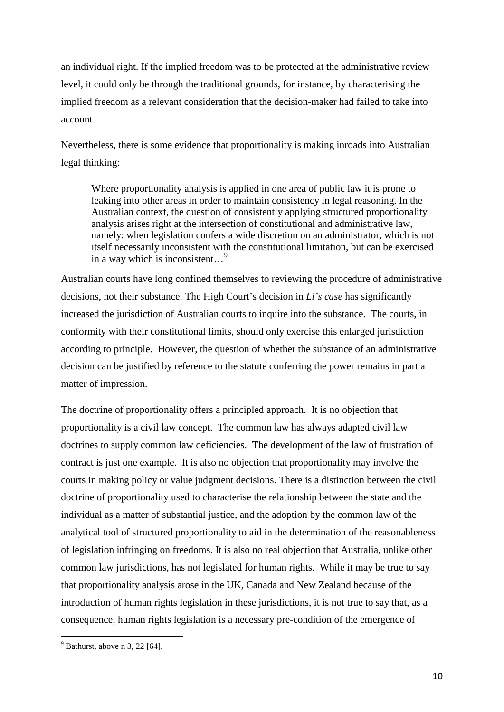an individual right. If the implied freedom was to be protected at the administrative review level, it could only be through the traditional grounds, for instance, by characterising the implied freedom as a relevant consideration that the decision-maker had failed to take into account.

Nevertheless, there is some evidence that proportionality is making inroads into Australian legal thinking:

Where proportionality analysis is applied in one area of public law it is prone to leaking into other areas in order to maintain consistency in legal reasoning. In the Australian context, the question of consistently applying structured proportionality analysis arises right at the intersection of constitutional and administrative law, namely: when legislation confers a wide discretion on an administrator, which is not itself necessarily inconsistent with the constitutional limitation, but can be exercised in a way which is inconsistent…[9](#page-9-0)

Australian courts have long confined themselves to reviewing the procedure of administrative decisions, not their substance. The High Court's decision in *Li's case* has significantly increased the jurisdiction of Australian courts to inquire into the substance. The courts, in conformity with their constitutional limits, should only exercise this enlarged jurisdiction according to principle. However, the question of whether the substance of an administrative decision can be justified by reference to the statute conferring the power remains in part a matter of impression.

The doctrine of proportionality offers a principled approach. It is no objection that proportionality is a civil law concept. The common law has always adapted civil law doctrines to supply common law deficiencies. The development of the law of frustration of contract is just one example. It is also no objection that proportionality may involve the courts in making policy or value judgment decisions. There is a distinction between the civil doctrine of proportionality used to characterise the relationship between the state and the individual as a matter of substantial justice, and the adoption by the common law of the analytical tool of structured proportionality to aid in the determination of the reasonableness of legislation infringing on freedoms. It is also no real objection that Australia, unlike other common law jurisdictions, has not legislated for human rights. While it may be true to say that proportionality analysis arose in the UK, Canada and New Zealand because of the introduction of human rights legislation in these jurisdictions, it is not true to say that, as a consequence, human rights legislation is a necessary pre-condition of the emergence of

<span id="page-9-0"></span> $9$  Bathurst, above n 3, 22 [64].